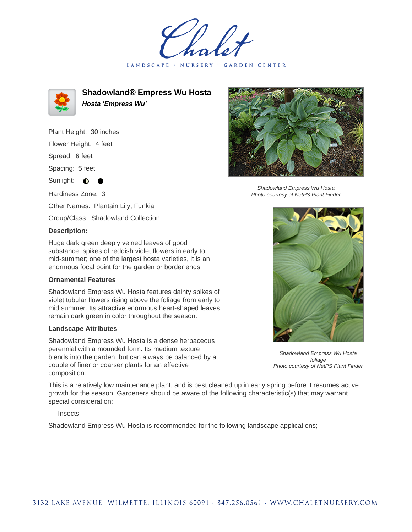LANDSCAPE · NURSERY · GARDEN CENTER



**Shadowland® Empress Wu Hosta Hosta 'Empress Wu'**

Plant Height: 30 inches Flower Height: 4 feet

Spread: 6 feet

Spacing: 5 feet

Sunlight:  $\bullet$ 

Hardiness Zone: 3

Other Names: Plantain Lily, Funkia

Group/Class: Shadowland Collection

## **Description:**

Huge dark green deeply veined leaves of good substance; spikes of reddish violet flowers in early to mid-summer; one of the largest hosta varieties, it is an enormous focal point for the garden or border ends

## **Ornamental Features**

Shadowland Empress Wu Hosta features dainty spikes of violet tubular flowers rising above the foliage from early to mid summer. Its attractive enormous heart-shaped leaves remain dark green in color throughout the season.

## **Landscape Attributes**

Shadowland Empress Wu Hosta is a dense herbaceous perennial with a mounded form. Its medium texture blends into the garden, but can always be balanced by a couple of finer or coarser plants for an effective composition.



Shadowland Empress Wu Hosta Photo courtesy of NetPS Plant Finder



Shadowland Empress Wu Hosta foliage Photo courtesy of NetPS Plant Finder

This is a relatively low maintenance plant, and is best cleaned up in early spring before it resumes active growth for the season. Gardeners should be aware of the following characteristic(s) that may warrant special consideration;

- Insects

Shadowland Empress Wu Hosta is recommended for the following landscape applications;